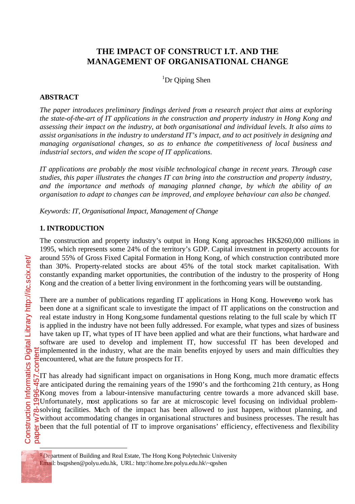# **THE IMPACT OF CONSTRUCT I.T. AND THE MANAGEMENT OF ORGANISATIONAL CHANGE**

<sup>1</sup>Dr Qiping Shen

#### **ABSTRACT**

*The paper introduces preliminary findings derived from a research project that aims at exploring the state-of-the-art of IT applications in the construction and property industry in Hong Kong and assessing their impact on the industry, at both organisational and individual levels. It also aims to assist organisations in the industry to understand IT's impact, and to act positively in designing and managing organisational changes, so as to enhance the competitiveness of local business and industrial sectors, and widen the scope of IT applications.*

*IT applications are probably the most visible technological change in recent years. Through case studies, this paper illustrates the changes IT can bring into the construction and property industry, and the importance and methods of managing planned change, by which the ability of an organisation to adapt to changes can be improved, and employee behaviour can also be changed.*

*Keywords: IT, Organisational Impact, Management of Change*

#### **1. INTRODUCTION**

The construction and property industry's output in Hong Kong approaches HK\$260,000 millions in 1995, which represents some 24% of the territory's GDP. Capital investment in property accounts for around 55% of Gross Fixed Capital Formation in Hong Kong, of which construction contributed more than 30%. Property-related stocks are about 45% of the total stock market capitalisation. With constantly expanding market opportunities, the contribution of the industry to the prosperity of Hong Kong and the creation of a better living environment in the forthcoming years will be outstanding.

There are a number of publications regarding IT applications in Hong Kong. However, work has been done at a significant scale to investigate the impact of IT applications on the construction and real estate industry in Hong Kong, some fundamental questions relating to the full scale by which IT is applied in the industry have not been fully addressed. For example, what types and sizes of business have taken up IT, what types of IT have been applied and what are their functions, what hardware and software are used to develop and implement IT, how successful IT has been developed and implemented in the industry, what are the main benefits enjoyed by users and main difficulties they encountered, what are the future prospects for IT.

IT has already had significant impact on organisations in Hong Kong, much more dramatic effects  $\frac{1}{2}$  are anticipated during the remaining years of the 1990's and the forthcoming 21th century, as Hong  $\frac{1}{5}$ Kong moves from a labour-intensive manufacturing centre towards a more advanced skill base.  $\frac{1}{2}$ Unfortunately, most applications so far are at microscopic level focusing on individual problem- $\phi$ solving facilities. Much of the impact has been allowed to just happen, without planning, and without accommodating changes in organisational structures and business processes. The result has  $\frac{1}{\Phi}$ been that the full potential of IT to improve organisations' efficiency, effectiveness and flexibility paper w78-1996-457.content

 $\overline{a}$ 

<sup>&</sup>lt;sup>1</sup> Department of Building and Real Estate, The Hong Kong Polytechnic University

Email: bsqpshen@polyu.edu.hk, URL: http:\\home.bre.polyu.edu.hk\~qpshen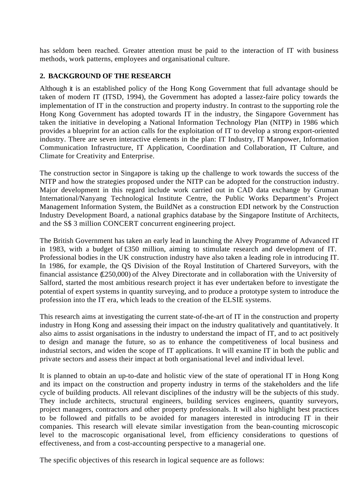has seldom been reached. Greater attention must be paid to the interaction of IT with business methods, work patterns, employees and organisational culture.

## **2. BACKGROUND OF THE RESEARCH**

Although it is an established policy of the Hong Kong Government that full advantage should be taken of modern IT (ITSD, 1994), the Government has adopted a lassez-faire policy towards the implementation of IT in the construction and property industry. In contrast to the supporting role the Hong Kong Government has adopted towards IT in the industry, the Singapore Government has taken the initiative in developing a National Information Technology Plan (NITP) in 1986 which provides a blueprint for an action calls for the exploitation of IT to develop a strong export-oriented industry. There are seven interactive elements in the plan: IT Industry, IT Manpower, Information Communication Infrastructure, IT Application, Coordination and Collaboration, IT Culture, and Climate for Creativity and Enterprise.

The construction sector in Singapore is taking up the challenge to work towards the success of the NITP and how the strategies proposed under the NITP can be adopted for the construction industry. Major development in this regard include work carried out in CAD data exchange by Gruman International/Nanyang Technological Institute Centre, the Public Works Department's Project Management Information System, the BuildNet as a construction EDI network by the Construction Industry Development Board, a national graphics database by the Singapore Institute of Architects, and the S\$ 3 million CONCERT concurrent engineering project.

The British Government has taken an early lead in launching the Alvey Programme of Advanced IT in 1983, with a budget of £350 million, aiming to stimulate research and development of IT. Professional bodies in the UK construction industry have also taken a leading role in introducing IT. In 1986, for example, the QS Division of the Royal Institution of Chartered Surveyors, with the financial assistance (£250,000) of the Alvey Directorate and in collaboration with the University of Salford, started the most ambitious research project it has ever undertaken before to investigate the potential of expert systems in quantity surveying, and to produce a prototype system to introduce the profession into the IT era, which leads to the creation of the ELSIE systems.

This research aims at investigating the current state-of-the-art of IT in the construction and property industry in Hong Kong and assessing their impact on the industry qualitatively and quantitatively. It also aims to assist organisations in the industry to understand the impact of IT, and to act positively to design and manage the future, so as to enhance the competitiveness of local business and industrial sectors, and widen the scope of IT applications. It will examine IT in both the public and private sectors and assess their impact at both organisational level and individual level.

It is planned to obtain an up-to-date and holistic view of the state of operational IT in Hong Kong and its impact on the construction and property industry in terms of the stakeholders and the life cycle of building products. All relevant disciplines of the industry will be the subjects of this study. They include architects, structural engineers, building services engineers, quantity surveyors, project managers, contractors and other property professionals. It will also highlight best practices to be followed and pitfalls to be avoided for managers interested in introducing IT in their companies. This research will elevate similar investigation from the bean-counting microscopic level to the macroscopic organisational level, from efficiency considerations to questions of effectiveness, and from a cost-accounting perspective to a managerial one.

The specific objectives of this research in logical sequence are as follows: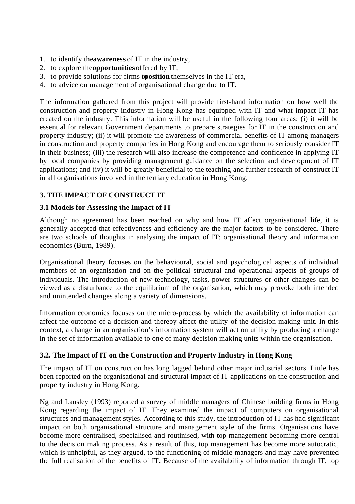- 1. to identify the awareness of IT in the industry,
- 2. to explore the **opportunities** offered by IT,
- 3. to provide solutions for firms t**osition** themselves in the IT era,
- 4. to advice on management of organisational change due to IT.

The information gathered from this project will provide first-hand information on how well the construction and property industry in Hong Kong has equipped with IT and what impact IT has created on the industry. This information will be useful in the following four areas: (i) it will be essential for relevant Government departments to prepare strategies for IT in the construction and property industry; (ii) it will promote the awareness of commercial benefits of IT among managers in construction and property companies in Hong Kong and encourage them to seriously consider IT in their business; (iii) the research will also increase the competence and confidence in applying IT by local companies by providing management guidance on the selection and development of IT applications; and (iv) it will be greatly beneficial to the teaching and further research of construct IT in all organisations involved in the tertiary education in Hong Kong.

# **3. THE IMPACT OF CONSTRUCT IT**

#### **3.1 Models for Assessing the Impact of IT**

Although no agreement has been reached on why and how IT affect organisational life, it is generally accepted that effectiveness and efficiency are the major factors to be considered. There are two schools of thoughts in analysing the impact of IT: organisational theory and information economics (Burn, 1989).

Organisational theory focuses on the behavioural, social and psychological aspects of individual members of an organisation and on the political structural and operational aspects of groups of individuals. The introduction of new technology, tasks, power structures or other changes can be viewed as a disturbance to the equilibrium of the organisation, which may provoke both intended and unintended changes along a variety of dimensions.

Information economics focuses on the micro-process by which the availability of information can affect the outcome of a decision and thereby affect the utility of the decision making unit. In this context, a change in an organisation's information system will act on utility by producing a change in the set of information available to one of many decision making units within the organisation.

## **3.2. The Impact of IT on the Construction and Property Industry in Hong Kong**

The impact of IT on construction has long lagged behind other major industrial sectors. Little has been reported on the organisational and structural impact of IT applications on the construction and property industry in Hong Kong.

Ng and Lansley (1993) reported a survey of middle managers of Chinese building firms in Hong Kong regarding the impact of IT. They examined the impact of computers on organisational structures and management styles. According to this study, the introduction of IT has had significant impact on both organisational structure and management style of the firms. Organisations have become more centralised, specialised and routinised, with top management becoming more central to the decision making process. As a result of this, top management has become more autocratic, which is unhelpful, as they argued, to the functioning of middle managers and may have prevented the full realisation of the benefits of IT. Because of the availability of information through IT, top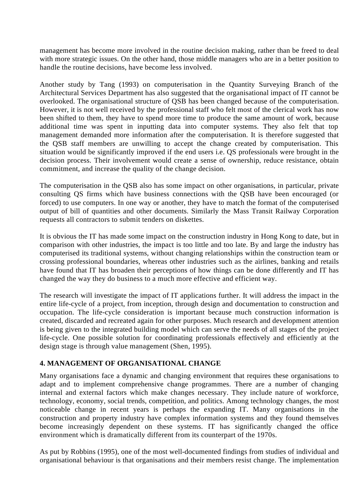management has become more involved in the routine decision making, rather than be freed to deal with more strategic issues. On the other hand, those middle managers who are in a better position to handle the routine decisions, have become less involved.

Another study by Tang (1993) on computerisation in the Quantity Surveying Branch of the Architectural Services Department has also suggested that the organisational impact of IT cannot be overlooked. The organisational structure of QSB has been changed because of the computerisation. However, it is not well received by the professional staff who felt most of the clerical work has now been shifted to them, they have to spend more time to produce the same amount of work, because additional time was spent in inputting data into computer systems. They also felt that top management demanded more information after the computerisation. It is therefore suggested that the QSB staff members are unwilling to accept the change created by computerisation. This situation would be significantly improved if the end users i.e. QS professionals were brought in the decision process. Their involvement would create a sense of ownership, reduce resistance, obtain commitment, and increase the quality of the change decision.

The computerisation in the QSB also has some impact on other organisations, in particular, private consulting QS firms which have business connections with the QSB have been encouraged (or forced) to use computers. In one way or another, they have to match the format of the computerised output of bill of quantities and other documents. Similarly the Mass Transit Railway Corporation requests all contractors to submit tenders on diskettes.

It is obvious the IT has made some impact on the construction industry in Hong Kong to date, but in comparison with other industries, the impact is too little and too late. By and large the industry has computerised its traditional systems, without changing relationships within the construction team or crossing professional boundaries, whereas other industries such as the airlines, banking and retails have found that IT has broaden their perceptions of how things can be done differently and IT has changed the way they do business to a much more effective and efficient way.

The research will investigate the impact of IT applications further. It will address the impact in the entire life-cycle of a project, from inception, through design and documentation to construction and occupation. The life-cycle consideration is important because much construction information is created, discarded and recreated again for other purposes. Much research and development attention is being given to the integrated building model which can serve the needs of all stages of the project life-cycle. One possible solution for coordinating professionals effectively and efficiently at the design stage is through value management (Shen, 1995).

## **4. MANAGEMENT OF ORGANISATIONAL CHANGE**

Many organisations face a dynamic and changing environment that requires these organisations to adapt and to implement comprehensive change programmes. There are a number of changing internal and external factors which make changes necessary. They include nature of workforce, technology, economy, social trends, competition, and politics. Among technology changes, the most noticeable change in recent years is perhaps the expanding IT. Many organisations in the construction and property industry have complex information systems and they found themselves become increasingly dependent on these systems. IT has significantly changed the office environment which is dramatically different from its counterpart of the 1970s.

As put by Robbins (1995), one of the most well-documented findings from studies of individual and organisational behaviour is that organisations and their members resist change. The implementation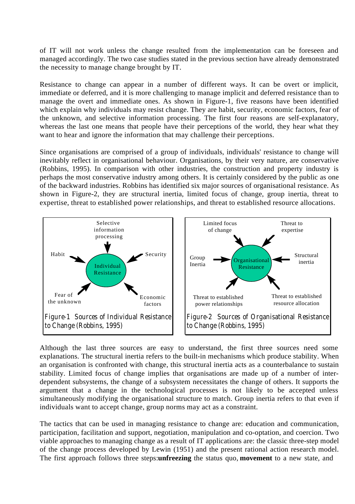of IT will not work unless the change resulted from the implementation can be foreseen and managed accordingly. The two case studies stated in the previous section have already demonstrated the necessity to manage change brought by IT.

Resistance to change can appear in a number of different ways. It can be overt or implicit, immediate or deferred, and it is more challenging to manage implicit and deferred resistance than to manage the overt and immediate ones. As shown in Figure-1, five reasons have been identified which explain why individuals may resist change. They are habit, security, economic factors, fear of the unknown, and selective information processing. The first four reasons are self-explanatory, whereas the last one means that people have their perceptions of the world, they hear what they want to hear and ignore the information that may challenge their perceptions.

Since organisations are comprised of a group of individuals, individuals' resistance to change will inevitably reflect in organisational behaviour. Organisations, by their very nature, are conservative (Robbins, 1995). In comparison with other industries, the construction and property industry is perhaps the most conservative industry among others. It is certainly considered by the public as one of the backward industries. Robbins has identified six major sources of organisational resistance. As shown in Figure-2, they are structural inertia, limited focus of change, group inertia, threat to expertise, threat to established power relationships, and threat to established resource allocations.



Although the last three sources are easy to understand, the first three sources need some explanations. The structural inertia refers to the built-in mechanisms which produce stability. When an organisation is confronted with change, this structural inertia acts as a counterbalance to sustain stability. Limited focus of change implies that organisations are made up of a number of interdependent subsystems, the change of a subsystem necessitates the change of others. It supports the argument that a change in the technological processes is not likely to be accepted unless simultaneously modifying the organisational structure to match. Group inertia refers to that even if individuals want to accept change, group norms may act as a constraint.

The tactics that can be used in managing resistance to change are: education and communication, participation, facilitation and support, negotiation, manipulation and co-optation, and coercion. Two viable approaches to managing change as a result of IT applications are: the classic three-step model of the change process developed by Lewin (1951) and the present rational action research model. The first approach follows three steps: **unfreezing** the status quo, **movement** to a new state, and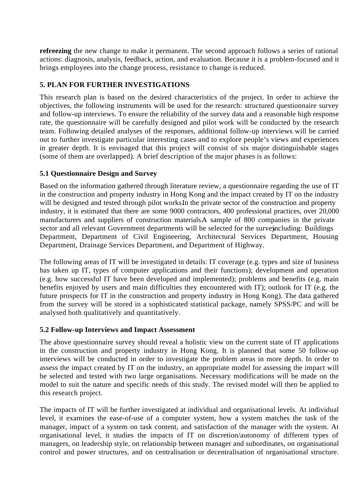**refreezing** the new change to make it permanent. The second approach follows a series of rational actions: diagnosis, analysis, feedback, action, and evaluation. Because it is a problem-focused and it brings employees into the change process, resistance to change is reduced.

# **5. PLAN FOR FURTHER INVESTIGATIONS**

This research plan is based on the desired characteristics of the project. In order to achieve the objectives, the following instruments will be used for the research: structured questionnaire survey and follow-up interviews. To ensure the reliability of the survey data and a reasonable high response rate, the questionnaire will be carefully designed and pilot work will be conducted by the research team. Following detailed analyses of the responses, additional follow-up interviews will be carried out to further investigate particular interesting cases and to explore people's views and experiences in greater depth. It is envisaged that this project will consist of six major distinguishable stages (some of them are overlapped). A brief description of the major phases is as follows:

## **5.1 Questionnaire Design and Survey**

Based on the information gathered through literature review, a questionnaire regarding the use of IT in the construction and property industry in Hong Kong and the impact created by IT on the industry will be designed and tested through pilot works. In the private sector of the construction and property industry, it is estimated that there are some 9000 contractors, 400 professional practices, over 20,000 manufacturers and suppliers of construction materials. A sample of 800 companies in the private sector and all relevant Government departments will be selected for the surveyncluding: Buildings Department, Department of Civil Engineering, Architectural Services Department, Housing Department, Drainage Services Department, and Department of Highway.

The following areas of IT will be investigated in details: IT coverage (e.g. types and size of business has taken up IT, types of computer applications and their functions); development and operation (e.g. how successful IT have been developed and implemented); problems and benefits (e.g. main benefits enjoyed by users and main difficulties they encountered with IT); outlook for IT (e.g. the future prospects for IT in the construction and property industry in Hong Kong). The data gathered from the survey will be stored in a sophisticated statistical package, namely SPSS/PC and will be analysed both qualitatively and quantitatively.

## **5.2 Follow-up Interviews and Impact Assessment**

The above questionnaire survey should reveal a holistic view on the current state of IT applications in the construction and property industry in Hong Kong. It is planned that some 50 follow-up interviews will be conducted in order to investigate the problem areas in more depth. In order to assess the impact created by IT on the industry, an appropriate model for assessing the impact will be selected and tested with two large organisations. Necessary modifications will be made on the model to suit the nature and specific needs of this study. The revised model will then be applied to this research project.

The impacts of IT will be further investigated at individual and organisational levels. At individual level, it examines the ease-of-use of a computer system, how a system matches the task of the manager, impact of a system on task content, and satisfaction of the manager with the system. At organisational level, it studies the impacts of IT on discretion/autonomy of different types of managers, on leadership style, on relationship between manager and subordinates, on organisational control and power structures, and on centralisation or decentralisation of organisational structure.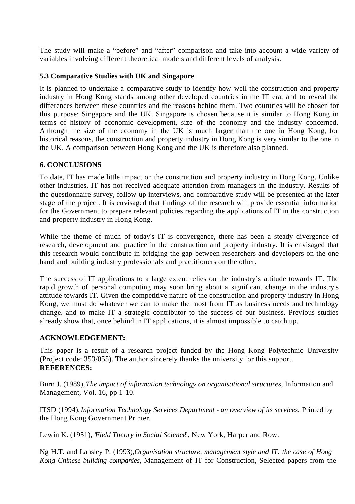The study will make a "before" and "after" comparison and take into account a wide variety of variables involving different theoretical models and different levels of analysis.

## **5.3 Comparative Studies with UK and Singapore**

It is planned to undertake a comparative study to identify how well the construction and property industry in Hong Kong stands among other developed countries in the IT era, and to reveal the differences between these countries and the reasons behind them. Two countries will be chosen for this purpose: Singapore and the UK. Singapore is chosen because it is similar to Hong Kong in terms of history of economic development, size of the economy and the industry concerned. Although the size of the economy in the UK is much larger than the one in Hong Kong, for historical reasons, the construction and property industry in Hong Kong is very similar to the one in the UK. A comparison between Hong Kong and the UK is therefore also planned.

# **6. CONCLUSIONS**

To date, IT has made little impact on the construction and property industry in Hong Kong. Unlike other industries, IT has not received adequate attention from managers in the industry. Results of the questionnaire survey, follow-up interviews, and comparative study will be presented at the later stage of the project. It is envisaged that findings of the research will provide essential information for the Government to prepare relevant policies regarding the applications of IT in the construction and property industry in Hong Kong.

While the theme of much of today's IT is convergence, there has been a steady divergence of research, development and practice in the construction and property industry. It is envisaged that this research would contribute in bridging the gap between researchers and developers on the one hand and building industry professionals and practitioners on the other.

The success of IT applications to a large extent relies on the industry's attitude towards IT. The rapid growth of personal computing may soon bring about a significant change in the industry's attitude towards IT. Given the competitive nature of the construction and property industry in Hong Kong, we must do whatever we can to make the most from IT as business needs and technology change, and to make IT a strategic contributor to the success of our business. Previous studies already show that, once behind in IT applications, it is almost impossible to catch up.

## **ACKNOWLEDGEMENT:**

This paper is a result of a research project funded by the Hong Kong Polytechnic University (Project code: 353/055). The author sincerely thanks the university for this support. **REFERENCES:**

Burn J. (1989), *The impact of information technology on organisational structures*, Information and Management, Vol. 16, pp 1-10.

ITSD (1994), *Information Technology Services Department - an overview of its services*, Printed by the Hong Kong Government Printer.

Lewin K. (1951), 'Field Theory in Social Science'', New York, Harper and Row.

Ng H.T. and Lansley P. (1993), *Organisation structure, management style and IT: the case of Hong Kong Chinese building companies*, Management of IT for Construction, Selected papers from the